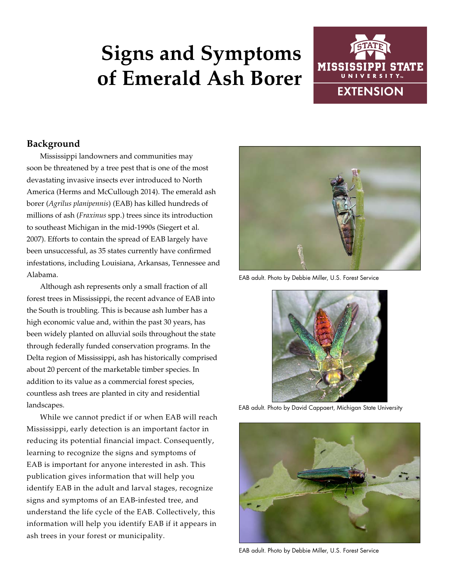# **Signs and Symptoms of Emerald Ash Borer**



# **Background**

Mississippi landowners and communities may soon be threatened by a tree pest that is one of the most devastating invasive insects ever introduced to North America (Herms and McCullough 2014). The emerald ash borer (*Agrilus planipennis*) (EAB) has killed hundreds of millions of ash (*Fraxinus* spp.) trees since its introduction to southeast Michigan in the mid-1990s (Siegert et al. 2007). Efforts to contain the spread of EAB largely have been unsuccessful, as 35 states currently have confirmed infestations, including Louisiana, Arkansas, Tennessee and Alabama.

Although ash represents only a small fraction of all forest trees in Mississippi, the recent advance of EAB into the South is troubling. This is because ash lumber has a high economic value and, within the past 30 years, has been widely planted on alluvial soils throughout the state through federally funded conservation programs. In the Delta region of Mississippi, ash has historically comprised about 20 percent of the marketable timber species. In addition to its value as a commercial forest species, countless ash trees are planted in city and residential landscapes.

While we cannot predict if or when EAB will reach Mississippi, early detection is an important factor in reducing its potential financial impact. Consequently, learning to recognize the signs and symptoms of EAB is important for anyone interested in ash. This publication gives information that will help you identify EAB in the adult and larval stages, recognize signs and symptoms of an EAB-infested tree, and understand the life cycle of the EAB. Collectively, this information will help you identify EAB if it appears in ash trees in your forest or municipality.



EAB adult. Photo by Debbie Miller, U.S. Forest Service



EAB adult. Photo by David Cappaert, Michigan State University



EAB adult. Photo by Debbie Miller, U.S. Forest Service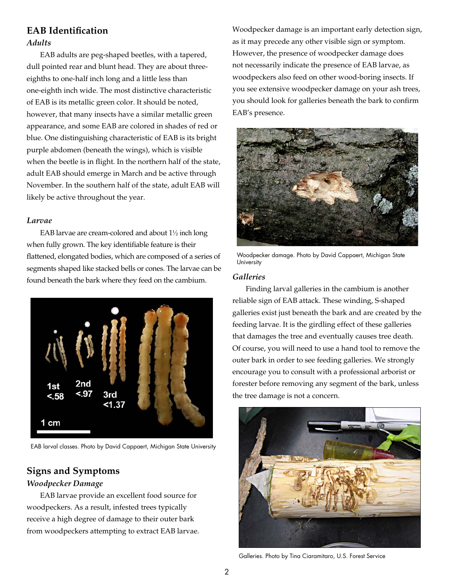# **EAB Identification** *Adults*

EAB adults are peg-shaped beetles, with a tapered, dull pointed rear and blunt head. They are about threeeighths to one-half inch long and a little less than one-eighth inch wide. The most distinctive characteristic of EAB is its metallic green color. It should be noted, however, that many insects have a similar metallic green appearance, and some EAB are colored in shades of red or blue. One distinguishing characteristic of EAB is its bright purple abdomen (beneath the wings), which is visible when the beetle is in flight. In the northern half of the state, adult EAB should emerge in March and be active through November. In the southern half of the state, adult EAB will likely be active throughout the year.

#### *Larvae*

EAB larvae are cream-colored and about 1½ inch long when fully grown. The key identifiable feature is their flattened, elongated bodies, which are composed of a series of segments shaped like stacked bells or cones. The larvae can be found beneath the bark where they feed on the cambium.



EAB larval classes. Photo by David Cappaert, Michigan State University

# **Signs and Symptoms**

#### *Woodpecker Damage*

EAB larvae provide an excellent food source for woodpeckers. As a result, infested trees typically receive a high degree of damage to their outer bark from woodpeckers attempting to extract EAB larvae. Woodpecker damage is an important early detection sign, as it may precede any other visible sign or symptom. However, the presence of woodpecker damage does not necessarily indicate the presence of EAB larvae, as woodpeckers also feed on other wood-boring insects. If you see extensive woodpecker damage on your ash trees, you should look for galleries beneath the bark to confirm EAB's presence.



Woodpecker damage. Photo by David Cappaert, Michigan State **University** 

#### *Galleries*

Finding larval galleries in the cambium is another reliable sign of EAB attack. These winding, S-shaped galleries exist just beneath the bark and are created by the feeding larvae. It is the girdling effect of these galleries that damages the tree and eventually causes tree death. Of course, you will need to use a hand tool to remove the outer bark in order to see feeding galleries. We strongly encourage you to consult with a professional arborist or forester before removing any segment of the bark, unless the tree damage is not a concern.



Galleries. Photo by Tina Ciaramitaro, U.S. Forest Service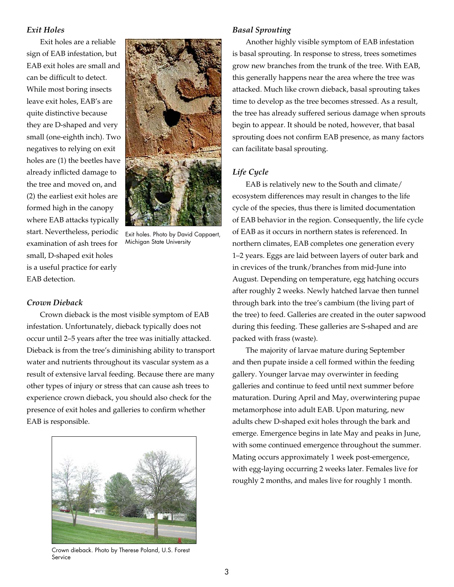#### *Exit Holes*

Exit holes are a reliable sign of EAB infestation, but EAB exit holes are small and can be difficult to detect. While most boring insects leave exit holes, EAB's are quite distinctive because they are D-shaped and very small (one-eighth inch). Two negatives to relying on exit holes are (1) the beetles have already inflicted damage to the tree and moved on, and (2) the earliest exit holes are formed high in the canopy where EAB attacks typically start. Nevertheless, periodic examination of ash trees for small, D-shaped exit holes is a useful practice for early EAB detection.



Exit holes. Photo by David Cappaert, Michigan State University

#### *Crown Dieback*

Crown dieback is the most visible symptom of EAB infestation. Unfortunately, dieback typically does not occur until 2–5 years after the tree was initially attacked. Dieback is from the tree's diminishing ability to transport water and nutrients throughout its vascular system as a result of extensive larval feeding. Because there are many other types of injury or stress that can cause ash trees to experience crown dieback, you should also check for the presence of exit holes and galleries to confirm whether EAB is responsible.



Crown dieback. Photo by Therese Poland, U.S. Forest Service

#### *Basal Sprouting*

Another highly visible symptom of EAB infestation is basal sprouting. In response to stress, trees sometimes grow new branches from the trunk of the tree. With EAB, this generally happens near the area where the tree was attacked. Much like crown dieback, basal sprouting takes time to develop as the tree becomes stressed. As a result, the tree has already suffered serious damage when sprouts begin to appear. It should be noted, however, that basal sprouting does not confirm EAB presence, as many factors can facilitate basal sprouting.

#### *Life Cycle*

EAB is relatively new to the South and climate/ ecosystem differences may result in changes to the life cycle of the species, thus there is limited documentation of EAB behavior in the region. Consequently, the life cycle of EAB as it occurs in northern states is referenced. In northern climates, EAB completes one generation every 1–2 years. Eggs are laid between layers of outer bark and in crevices of the trunk/branches from mid-June into August. Depending on temperature, egg hatching occurs after roughly 2 weeks. Newly hatched larvae then tunnel through bark into the tree's cambium (the living part of the tree) to feed. Galleries are created in the outer sapwood during this feeding. These galleries are S-shaped and are packed with frass (waste).

The majority of larvae mature during September and then pupate inside a cell formed within the feeding gallery. Younger larvae may overwinter in feeding galleries and continue to feed until next summer before maturation. During April and May, overwintering pupae metamorphose into adult EAB. Upon maturing, new adults chew D-shaped exit holes through the bark and emerge. Emergence begins in late May and peaks in June, with some continued emergence throughout the summer. Mating occurs approximately 1 week post-emergence, with egg-laying occurring 2 weeks later. Females live for roughly 2 months, and males live for roughly 1 month.